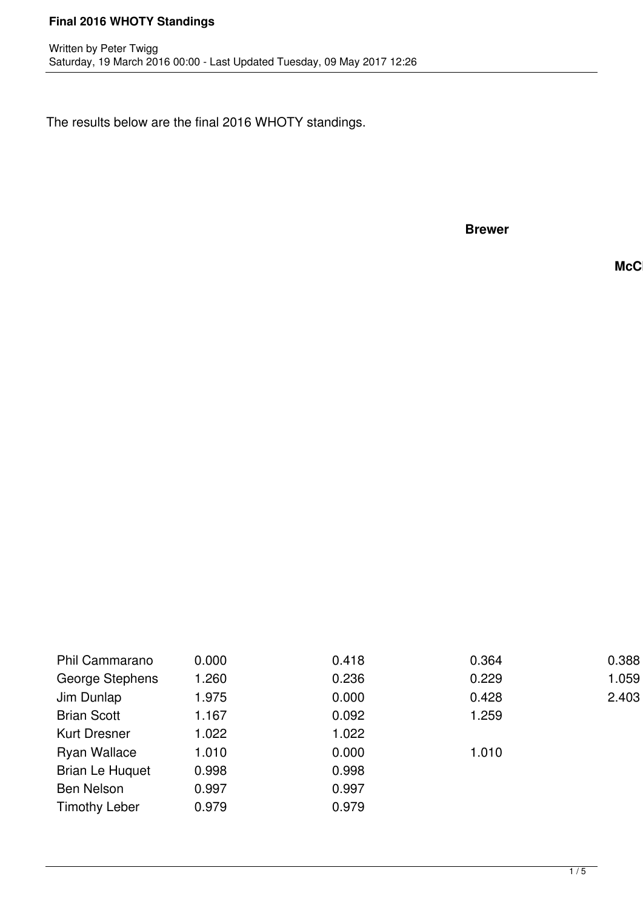The results below are the final 2016 WHOTY standings.

**Brewer**

**McC** 

| Phil Cammarano         | 0.000 | 0.418 | 0.364 | 0.388 |
|------------------------|-------|-------|-------|-------|
| George Stephens        | .260  | 0.236 | 0.229 | 1.059 |
| Jim Dunlap             | 1.975 | 0.000 | 0.428 | 2.403 |
| <b>Brian Scott</b>     | .167  | 0.092 | 1.259 |       |
| <b>Kurt Dresner</b>    | 1.022 | 1.022 |       |       |
| <b>Ryan Wallace</b>    | 1.010 | 0.000 | 1.010 |       |
| <b>Brian Le Huquet</b> | 0.998 | 0.998 |       |       |
| <b>Ben Nelson</b>      | 0.997 | 0.997 |       |       |
| <b>Timothy Leber</b>   | 0.979 | 0.979 |       |       |
|                        |       |       |       |       |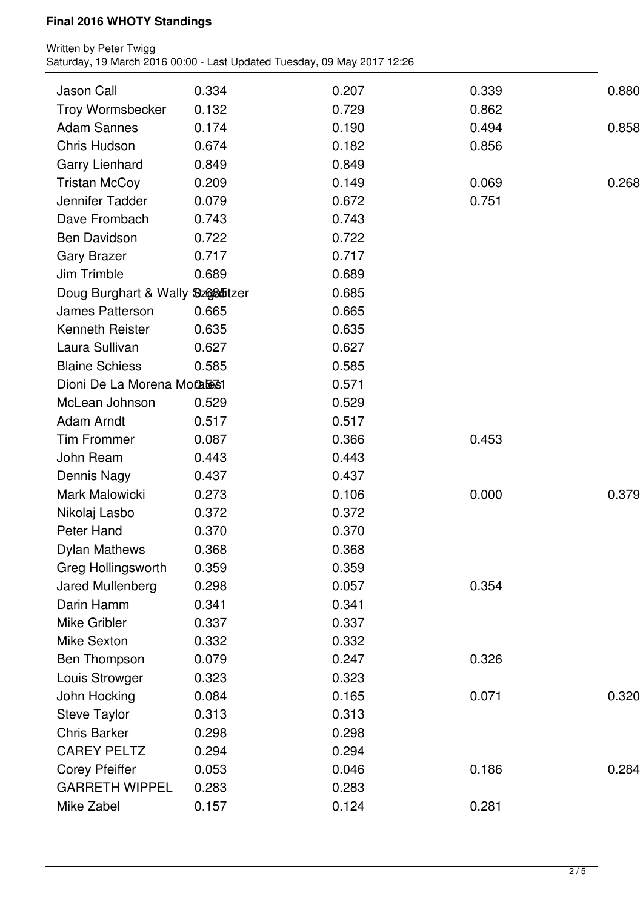| Jason Call                                     | 0.334 | 0.207 | 0.339 | 0.880 |
|------------------------------------------------|-------|-------|-------|-------|
| Troy Wormsbecker                               | 0.132 | 0.729 | 0.862 |       |
| <b>Adam Sannes</b>                             | 0.174 | 0.190 | 0.494 | 0.858 |
| Chris Hudson                                   | 0.674 | 0.182 | 0.856 |       |
| Garry Lienhard                                 | 0.849 | 0.849 |       |       |
| <b>Tristan McCoy</b>                           | 0.209 | 0.149 | 0.069 | 0.268 |
| Jennifer Tadder                                | 0.079 | 0.672 | 0.751 |       |
| Dave Frombach                                  | 0.743 | 0.743 |       |       |
| <b>Ben Davidson</b>                            | 0.722 | 0.722 |       |       |
| <b>Gary Brazer</b>                             | 0.717 | 0.717 |       |       |
| Jim Trimble                                    | 0.689 | 0.689 |       |       |
| Doug Burghart & Wally Sz68ffitzer              |       | 0.685 |       |       |
| James Patterson                                | 0.665 | 0.665 |       |       |
| <b>Kenneth Reister</b>                         | 0.635 | 0.635 |       |       |
| Laura Sullivan                                 | 0.627 | 0.627 |       |       |
| <b>Blaine Schiess</b>                          | 0.585 | 0.585 |       |       |
| Dioni De La Morena Motale31                    |       | 0.571 |       |       |
| McLean Johnson                                 | 0.529 | 0.529 |       |       |
| Adam Arndt                                     | 0.517 | 0.517 |       |       |
| <b>Tim Frommer</b>                             | 0.087 | 0.366 | 0.453 |       |
| John Ream                                      | 0.443 | 0.443 |       |       |
| Dennis Nagy                                    | 0.437 | 0.437 |       |       |
| Mark Malowicki                                 | 0.273 | 0.106 | 0.000 | 0.379 |
| Nikolaj Lasbo                                  | 0.372 | 0.372 |       |       |
| <b>Peter Hand</b>                              | 0.370 | 0.370 |       |       |
| <b>Dylan Mathews</b>                           | 0.368 | 0.368 |       |       |
| <b>Greg Hollingsworth</b>                      | 0.359 | 0.359 |       |       |
| Jared Mullenberg                               | 0.298 | 0.057 | 0.354 |       |
| Darin Hamm                                     | 0.341 | 0.341 |       |       |
| Mike Gribler                                   | 0.337 | 0.337 |       |       |
| <b>Mike Sexton</b>                             | 0.332 | 0.332 |       |       |
| Ben Thompson                                   | 0.079 | 0.247 | 0.326 |       |
| Louis Strowger                                 | 0.323 | 0.323 |       |       |
| John Hocking                                   | 0.084 | 0.165 | 0.071 | 0.320 |
| <b>Steve Taylor</b>                            | 0.313 | 0.313 |       |       |
| <b>Chris Barker</b>                            | 0.298 | 0.298 |       |       |
| <b>CAREY PELTZ</b>                             | 0.294 | 0.294 |       |       |
|                                                |       |       |       |       |
| <b>Corey Pfeiffer</b><br><b>GARRETH WIPPEL</b> | 0.053 | 0.046 | 0.186 | 0.284 |
|                                                | 0.283 | 0.283 |       |       |
| Mike Zabel                                     | 0.157 | 0.124 | 0.281 |       |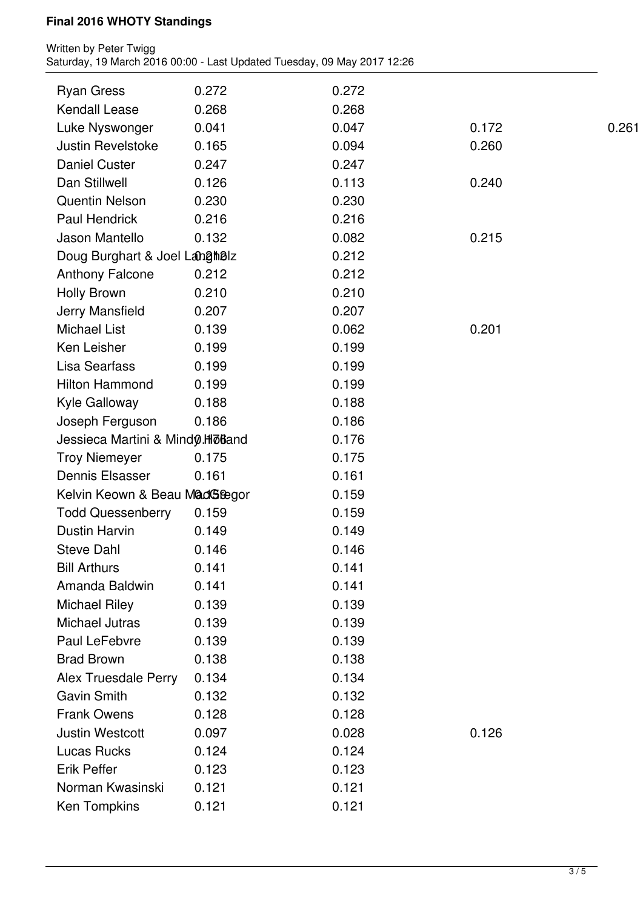| <b>Ryan Gress</b>                 | 0.272 | 0.272 |       |       |
|-----------------------------------|-------|-------|-------|-------|
| <b>Kendall Lease</b>              | 0.268 | 0.268 |       |       |
| Luke Nyswonger                    | 0.041 | 0.047 | 0.172 | 0.261 |
| <b>Justin Revelstoke</b>          | 0.165 | 0.094 | 0.260 |       |
| <b>Daniel Custer</b>              | 0.247 | 0.247 |       |       |
| Dan Stillwell                     | 0.126 | 0.113 | 0.240 |       |
| <b>Quentin Nelson</b>             | 0.230 | 0.230 |       |       |
| Paul Hendrick                     | 0.216 | 0.216 |       |       |
| Jason Mantello                    | 0.132 | 0.082 | 0.215 |       |
| Doug Burghart & Joel Langhalz     |       | 0.212 |       |       |
| <b>Anthony Falcone</b>            | 0.212 | 0.212 |       |       |
| <b>Holly Brown</b>                | 0.210 | 0.210 |       |       |
| Jerry Mansfield                   | 0.207 | 0.207 |       |       |
| <b>Michael List</b>               | 0.139 | 0.062 | 0.201 |       |
| Ken Leisher                       | 0.199 | 0.199 |       |       |
| Lisa Searfass                     | 0.199 | 0.199 |       |       |
| <b>Hilton Hammond</b>             | 0.199 | 0.199 |       |       |
| Kyle Galloway                     | 0.188 | 0.188 |       |       |
| Joseph Ferguson                   | 0.186 | 0.186 |       |       |
| Jessieca Martini & Mind 0.HloBand |       | 0.176 |       |       |
| <b>Troy Niemeyer</b>              | 0.175 | 0.175 |       |       |
| <b>Dennis Elsasser</b>            | 0.161 | 0.161 |       |       |
| Kelvin Keown & Beau MadG&egor     |       | 0.159 |       |       |
| <b>Todd Quessenberry</b>          | 0.159 | 0.159 |       |       |
| <b>Dustin Harvin</b>              | 0.149 | 0.149 |       |       |
| <b>Steve Dahl</b>                 | 0.146 | 0.146 |       |       |
| <b>Bill Arthurs</b>               | 0.141 | 0.141 |       |       |
| Amanda Baldwin                    | 0.141 | 0.141 |       |       |
| <b>Michael Riley</b>              | 0.139 | 0.139 |       |       |
| <b>Michael Jutras</b>             | 0.139 | 0.139 |       |       |
| Paul LeFebvre                     | 0.139 | 0.139 |       |       |
| <b>Brad Brown</b>                 | 0.138 | 0.138 |       |       |
| <b>Alex Truesdale Perry</b>       | 0.134 | 0.134 |       |       |
| <b>Gavin Smith</b>                | 0.132 | 0.132 |       |       |
| <b>Frank Owens</b>                | 0.128 | 0.128 |       |       |
| <b>Justin Westcott</b>            | 0.097 | 0.028 | 0.126 |       |
| <b>Lucas Rucks</b>                | 0.124 | 0.124 |       |       |
| <b>Erik Peffer</b>                | 0.123 | 0.123 |       |       |
| Norman Kwasinski                  | 0.121 | 0.121 |       |       |
| Ken Tompkins                      | 0.121 | 0.121 |       |       |
|                                   |       |       |       |       |